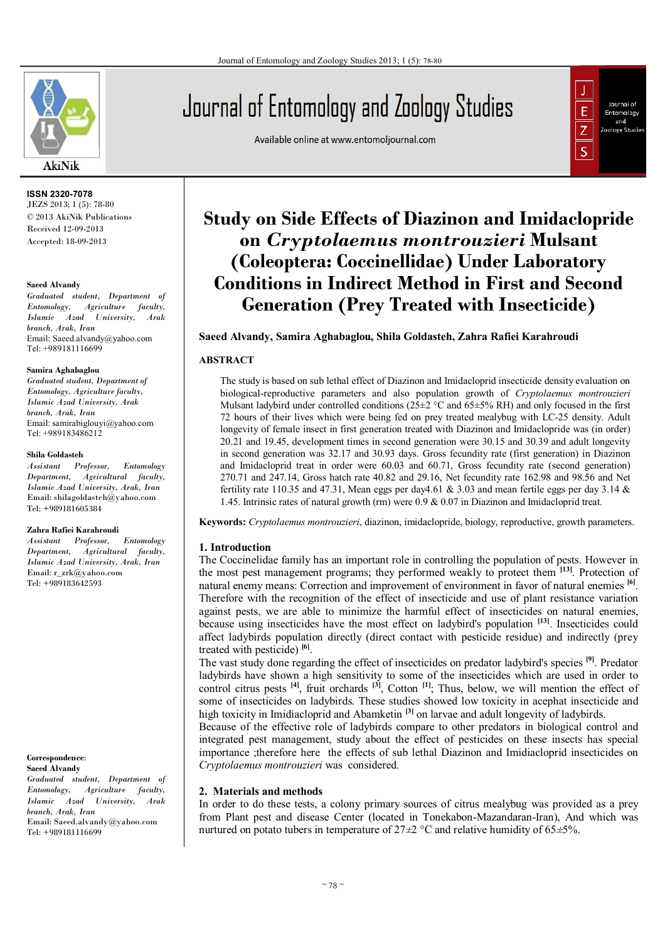

#### **ISSN 2320-7078** JEZS 2013; 1 (5): 78-80 © 2013 AkiNik Publications Received 12-09-2013 Accepted: 18-09-2013

#### **Saeed Alvandy**

*Graduated student, Department of Entomology, Agriculture faculty, Islamic Azad University, Arak branch, Arak, Iran* Email: Saeed.alvandy@yahoo.com Tel: +989181116699

#### **Samira Aghabaglou**

*Graduated student, Department of Entomology, Agriculture faculty, Islamic Azad University, Arak branch, Arak, Iran* Email: samirabiglouyi@yahoo.com Tel: +989183486212

#### **Shila Goldasteh**

*Assistant Professor, Entomology Department, Agricultural faculty, Islamic Azad University, Arak, Iran* Email: shilagoldasteh@yahoo.com Tel: +989181605384

#### **Zahra Rafiei Karahroudi**

*Assistant Professor, Entomology Department, Agricultural faculty, Islamic Azad University, Arak, Iran* Email: r\_zrk@yahoo.com Tel: +989183642593

#### **Correspondence**: **Saeed Alvandy**

*Graduated student, Department of Entomology, Agriculture faculty, Islamic Azad University, Arak branch, Arak, Iran* Email: Saeed.alvandy@yahoo.com Tel: +989181116699

# Journal of Entomology and Zoology Studies

Available online at www.entomoljournal.com



# **Study on Side Effects of Diazinon and Imidaclopride on** *Cryptolaemus montrouzieri* **Mulsant (Coleoptera: Coccinellidae) Under Laboratory Conditions in Indirect Method in First and Second Generation (Prey Treated with Insecticide)**

# **Saeed Alvandy, Samira Aghabaglou, Shila Goldasteh, Zahra Rafiei Karahroudi**

# **ABSTRACT**

The study is based on sub lethal effect of Diazinon and Imidacloprid insecticide density evaluation on biological-reproductive parameters and also population growth of *Cryptolaemus montrouzieri* Mulsant ladybird under controlled conditions ( $25\pm2$  °C and  $65\pm5\%$  RH) and only focused in the first 72 hours of their lives which were being fed on prey treated mealybug with LC-25 density. Adult longevity of female insect in first generation treated with Diazinon and Imidaclopride was (in order) 20.21 and 19.45, development times in second generation were 30.15 and 30.39 and adult longevity in second generation was 32.17 and 30.93 days. Gross fecundity rate (first generation) in Diazinon and Imidacloprid treat in order were 60.03 and 60.71, Gross fecundity rate (second generation) 270.71 and 247.14, Gross hatch rate 40.82 and 29.16, Net fecundity rate 162.98 and 98.56 and Net fertility rate 110.35 and 47.31, Mean eggs per day 4.61 & 3.03 and mean fertile eggs per day 3.14 & 1.45. Intrinsic rates of natural growth (rm) were 0.9 & 0.07 in Diazinon and Imidacloprid treat.

**Keywords:** *Cryptolaemus montrouzieri*, diazinon, imidaclopride, biology, reproductive, growth parameters.

# **1. Introduction**

The Coccinelidae family has an important role in controlling the population of pests. However in the most pest management programs; they performed weakly to protect them **[13]**. Protection of natural enemy means: Correction and improvement of environment in favor of natural enemies **[6]** . Therefore with the recognition of the effect of insecticide and use of plant resistance variation against pests, we are able to minimize the harmful effect of insecticides on natural enemies, because using insecticides have the most effect on ladybird's population **[13]**. Insecticides could affect ladybirds population directly (direct contact with pesticide residue) and indirectly (prey treated with pesticide) **[6]** .

The vast study done regarding the effect of insecticides on predator ladybird's species **[9]**. Predator ladybirds have shown a high sensitivity to some of the insecticides which are used in order to control citrus pests  $[4]$ , fruit orchards  $[3]$ , Cotton  $[1]$ ; Thus, below, we will mention the effect of some of insecticides on ladybirds. These studies showed low toxicity in acephat insecticide and high toxicity in Imidiacloprid and Abamketin **[3]** on larvae and adult longevity of ladybirds.

Because of the effective role of ladybirds compare to other predators in biological control and integrated pest management, study about the effect of pesticides on these insects has special importance ;therefore here the effects of sub lethal Diazinon and Imidiacloprid insecticides on *Cryptolaemus montrouzieri* was considered.

# **2. Materials and methods**

In order to do these tests, a colony primary sources of citrus mealybug was provided as a prey from Plant pest and disease Center (located in Tonekabon-Mazandaran-Iran), And which was nurtured on potato tubers in temperature of 27*±*2 °C and relative humidity of 65*±*5%.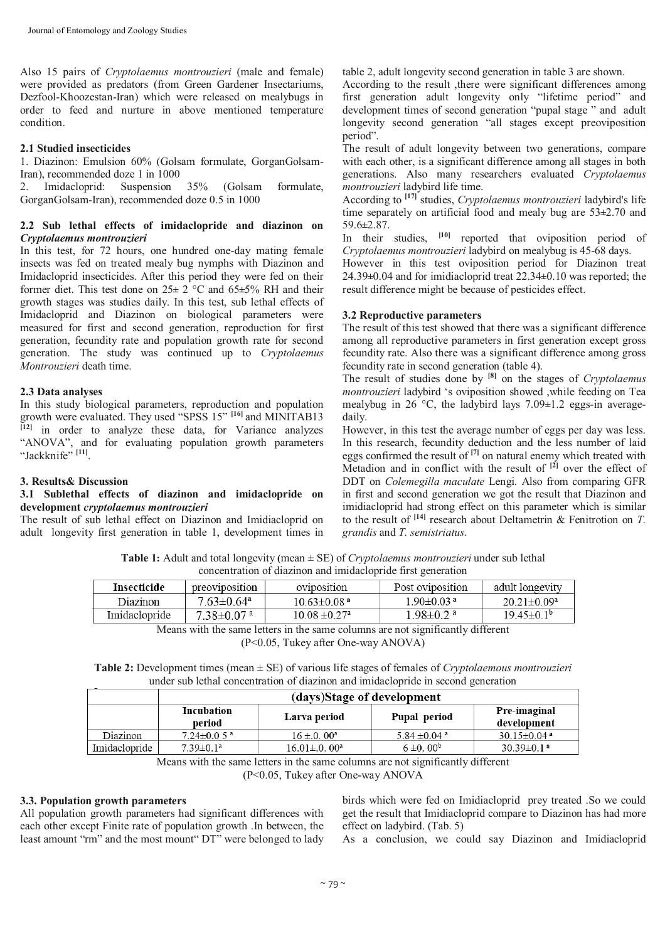Also 15 pairs of *Cryptolaemus montrouzieri* (male and female) were provided as predators (from Green Gardener Insectariums, Dezfool-Khoozestan-Iran) which were released on mealybugs in order to feed and nurture in above mentioned temperature condition.

# **2.1 Studied insecticides**

1. Diazinon: Emulsion 60% (Golsam formulate, GorganGolsam-Iran), recommended doze 1 in 1000

2. Imidacloprid: Suspension 35% (Golsam formulate, GorganGolsam-Iran), recommended doze 0.5 in 1000

# **2.2 Sub lethal effects of imidaclopride and diazinon on**  *Cryptolaemus montrouzieri*

In this test, for 72 hours, one hundred one-day mating female insects was fed on treated mealy bug nymphs with Diazinon and Imidacloprid insecticides. After this period they were fed on their former diet. This test done on 25**±** 2 °C and 65**±**5% RH and their growth stages was studies daily. In this test, sub lethal effects of Imidacloprid and Diazinon on biological parameters were measured for first and second generation, reproduction for first generation, fecundity rate and population growth rate for second generation. The study was continued up to *Cryptolaemus Montrouzieri* death time.

# **2.3 Data analyses**

In this study biological parameters, reproduction and population growth were evaluated. They used "SPSS 15" **[16]** and MINITAB13 **[12]** in order to analyze these data, for Variance analyzes "ANOVA", and for evaluating population growth parameters "Jackknife" **[11]** .

# **3. Results& Discussion**

#### **3.1 Sublethal effects of diazinon and imidaclopride on development** *cryptolaemus montrouzieri*

The result of sub lethal effect on Diazinon and Imidiacloprid on adult longevity first generation in table 1, development times in table 2, adult longevity second generation in table 3 are shown.

According to the result , there were significant differences among first generation adult longevity only "lifetime period" and development times of second generation "pupal stage " and adult longevity second generation "all stages except preoviposition period".

The result of adult longevity between two generations, compare with each other, is a significant difference among all stages in both generations. Also many researchers evaluated *Cryptolaemus montrouzieri* ladybird life time.

According to **[17]** studies, *Cryptolaemus montrouzieri* ladybird's life time separately on artificial food and mealy bug are 53**±**2.70 and 59.6**±**2.87.

In their studies, **[10]** reported that oviposition period of *Cryptolaemus montrouzieri* ladybird on mealybug is 45-68 days. However in this test oviposition period for Diazinon treat 24.39**±**0.04 and for imidiacloprid treat 22.34**±**0.10 was reported; the result difference might be because of pesticides effect.

# **3.2 Reproductive parameters**

The result of this test showed that there was a significant difference among all reproductive parameters in first generation except gross fecundity rate. Also there was a significant difference among gross fecundity rate in second generation (table 4).

The result of studies done by **[8]** on the stages of *Cryptolaemus montrouzieri* ladybird 's oviposition showed ,while feeding on Tea mealybug in 26 °C, the ladybird lays 7.09**±**1.2 eggs-in averagedaily.

However, in this test the average number of eggs per day was less. In this research, fecundity deduction and the less number of laid eggs confirmed the result of **[7]** on natural enemy which treated with Metadion and in conflict with the result of **[2]** over the effect of DDT on *Colemegilla maculate* Lengi*.* Also from comparing GFR in first and second generation we got the result that Diazinon and imidiacloprid had strong effect on this parameter which is similar to the result of **[14]** research about Deltametrin & Fenitrotion on *T. grandis* and *T. semistriatus*.

**Table 1:** Adult and total longevity **(**mean ± SE) of *Cryptolaemus montrouzieri* under sub lethal concentration of diazinon and imidaclopride first generation

| Insecticide   | preoviposition               | oviposition                   | Post oviposition            | adult longevity         |
|---------------|------------------------------|-------------------------------|-----------------------------|-------------------------|
| Diazinon      | $7.63 \pm 0.64$ <sup>a</sup> | $10.63 \pm 0.08$ <sup>a</sup> | $1.90 \pm 0.03$ a           | $20.21 \pm 0.09^a$      |
| Imidaclopride | $7.38{\pm}0.07$ a            | $10.08 \pm 0.27$ <sup>a</sup> | $1.98 \pm 0.2$ <sup>a</sup> | $19.45 \pm 0.1^{\circ}$ |
|               |                              |                               | $1.22 \times 10^{-1}$       |                         |

Means with the same letters in the same columns are not significantly different

(P<0.05, Tukey after One-way ANOVA)

**Table 2:** Development times (mean ± SE) of various life stages of females of *Cryptolaemous montrouzieri* under sub lethal concentration of diazinon and imidaclopride in second generation

|               | (days)Stage of development |                    |                            |                              |
|---------------|----------------------------|--------------------|----------------------------|------------------------------|
|               | Incubation<br>period       | Larva period       | Pupal period               | Pre-imaginal<br>development  |
| Diazinon      | $7.24 \pm 0.05$ a          | $16 \pm 0.00^a$    | 5.84 $\pm$ 0.04 $^{\circ}$ | 30.15 $\pm$ 0.04 $a$         |
| Imidaclopride | $7.39 \pm 0.1^a$           | $16.01 \pm 0.00^a$ | $6 \pm 0.00^b$             | $30.39 \pm 0.1$ <sup>a</sup> |

Means with the same letters in the same columns are not significantly different

(P<0.05, Tukey after One-way ANOVA

# **3.3. Population growth parameters**

All population growth parameters had significant differences with each other except Finite rate of population growth .In between, the least amount "rm" and the most mount" DT" were belonged to lady

birds which were fed on Imidiacloprid prey treated .So we could get the result that Imidiacloprid compare to Diazinon has had more effect on ladybird. (Tab. 5)

As a conclusion, we could say Diazinon and Imidiacloprid